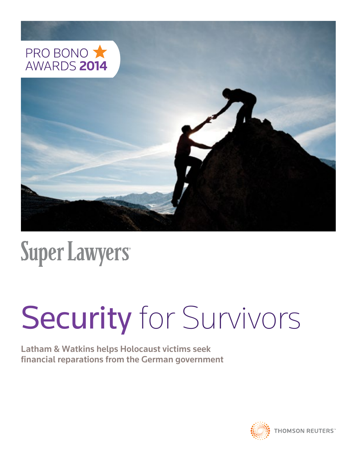

### **Super Lawyers**

# Security for Survivors

Latham & Watkins helps Holocaust victims seek financial reparations from the German government

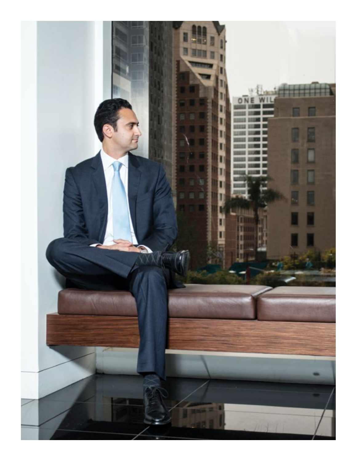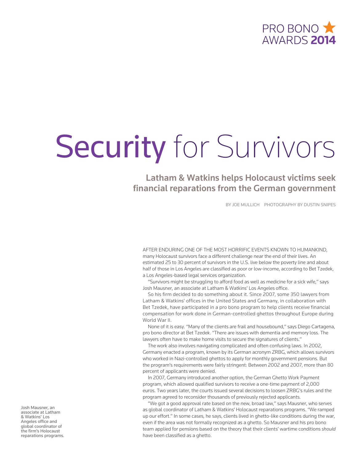

## Security for Survivors

Latham & Watkins helps Holocaust victims seek financial reparations from the German government

BY JOE MULLICH PHOTOGRAPHY BY DUSTIN SNIPES

AFTER ENDURING ONE OF THE MOST HORRIFIC EVENTS KNOWN TO HUMANKIND, many Holocaust survivors face a different challenge near the end of their lives. An estimated 25 to 30 percent of survivors in the U.S. live below the poverty line and about half of those in Los Angeles are classified as poor or low-income, according to Bet Tzedek, a Los Angeles-based legal services organization.

"Survivors might be struggling to afford food as well as medicine for a sick wife," says Josh Mausner, an associate at Latham & Watkins' Los Angeles office.

So his firm decided to do something about it. Since 2007, some 350 lawyers from Latham & Watkins' offices in the United States and Germany, in collaboration with Bet Tzedek, have participated in a pro bono program to help clients receive financial compensation for work done in German-controlled ghettos throughout Europe during World War II.

None of it is easy. "Many of the clients are frail and housebound," says Diego Cartagena, pro bono director at Bet Tzedek. "There are issues with dementia and memory loss. The lawyers often have to make home visits to secure the signatures of clients."

The work also involves navigating complicated and often confusing laws. In 2002, Germany enacted a program, known by its German acronym ZRBG, which allows survivors who worked in Nazi-controlled ghettos to apply for monthly government pensions. But the program's requirements were fairly stringent: Between 2002 and 2007, more than 80 percent of applicants were denied.

In 2007, Germany introduced another option, the German Ghetto Work Payment program, which allowed qualified survivors to receive a one-time payment of 2,000 euros. Two years later, the courts issued several decisions to loosen ZRBG's rules and the program agreed to reconsider thousands of previously rejected applicants.

"We got a good approval rate based on the new, broad law," says Mausner, who serves as global coordinator of Latham & Watkins' Holocaust reparations programs. "We ramped up our effort." In some cases, he says, clients lived in ghetto-like conditions during the war, even if the area was not formally recognized as a ghetto. So Mausner and his pro bono team applied for pensions based on the theory that their clients' wartime conditions *should* have been classified as a ghetto.

Josh Mausner, an associate at Latham & Watkins' Los Angeles office and global coordinator of the firm's Holocaust reparations programs.